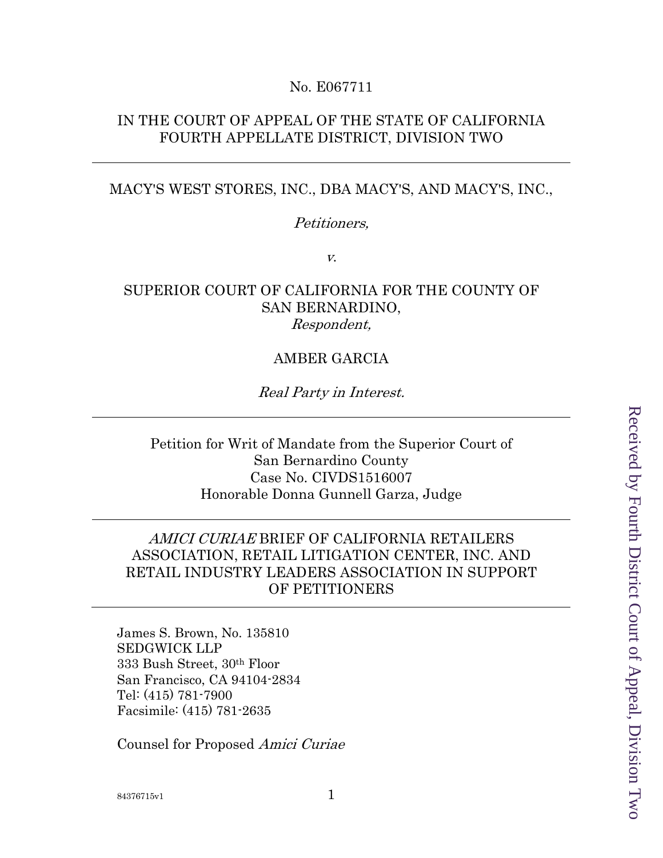## No. E067711

# IN THE COURT OF APPEAL OF THE STATE OF CALIFORNIA FOURTH APPELLATE DISTRICT, DIVISION TWO

### MACY'S WEST STORES, INC., DBA MACY'S, AND MACY'S, INC.,

### Petitioners,

v.

# SUPERIOR COURT OF CALIFORNIA FOR THE COUNTY OF SAN BERNARDINO, Respondent,

# AMBER GARCIA

## Real Party in Interest.

Petition for Writ of Mandate from the Superior Court of San Bernardino County Case No. CIVDS1516007 Honorable Donna Gunnell Garza, Judge

# AMICI CURIAE BRIEF OF CALIFORNIA RETAILERS ASSOCIATION, RETAIL LITIGATION CENTER, INC. AND RETAIL INDUSTRY LEADERS ASSOCIATION IN SUPPORT OF PETITIONERS

James S. Brown, No. 135810 SEDGWICK LLP 333 Bush Street, 30th Floor San Francisco, CA 94104-2834 Tel: (415) 781-7900 Facsimile: (415) 781-2635

Counsel for Proposed Amici Curiae

Received by Fourth District Court of Appeal, Division Two Received by Fourth District Court of Appeal, Division Two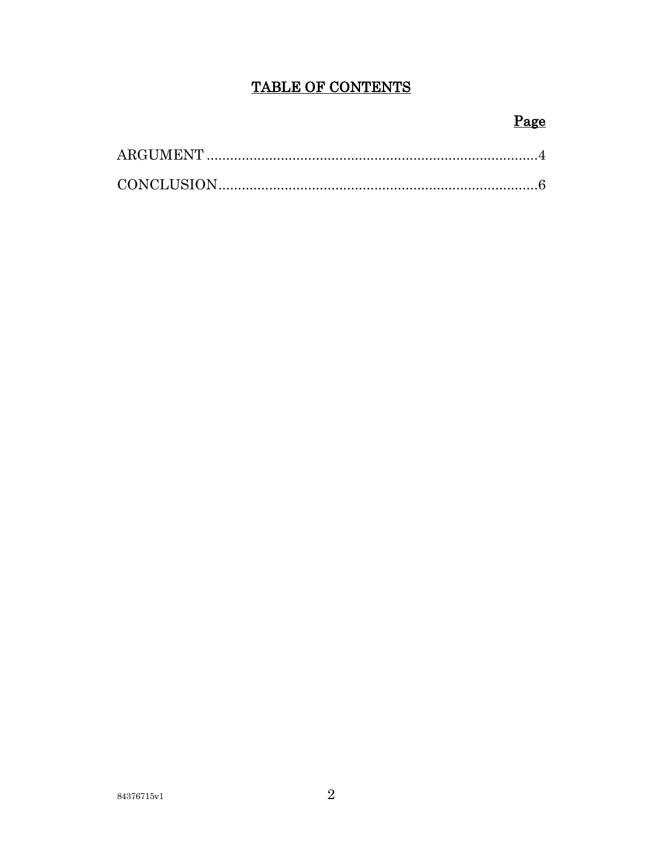# TABLE OF CONTENTS

# Page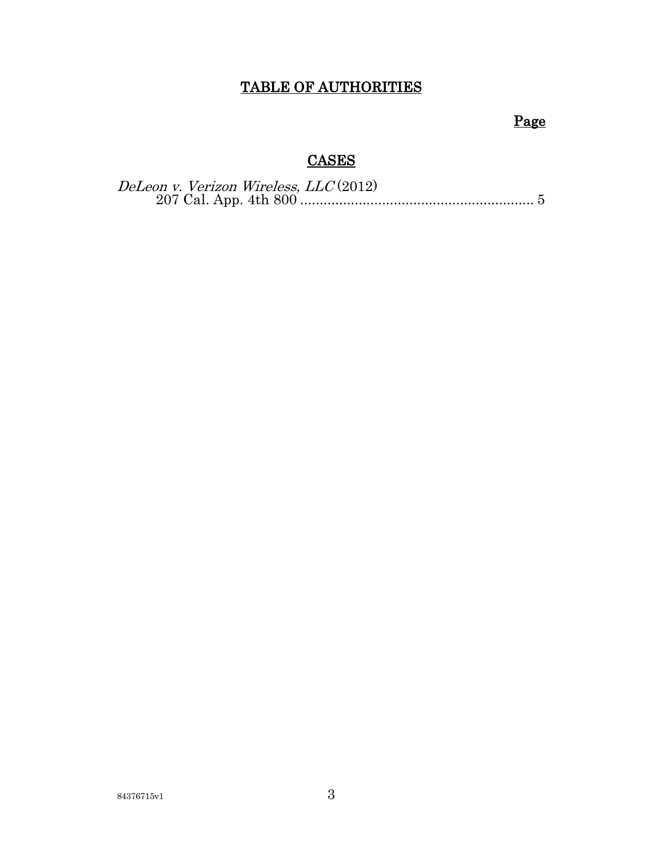# TABLE OF AUTHORITIES

# Page

# **CASES**

| DeLeon v. Verizon Wireless, LLC(2012) |  |
|---------------------------------------|--|
|                                       |  |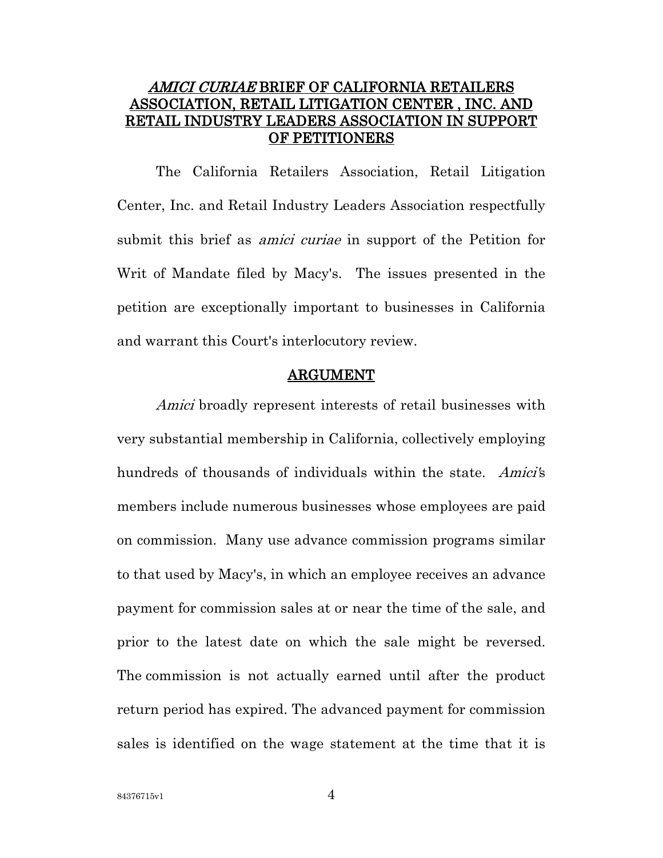# AMICI CURIAE BRIEF OF CALIFORNIA RETAILERS ASSOCIATION, RETAIL LITIGATION CENTER , INC. AND RETAIL INDUSTRY LEADERS ASSOCIATION IN SUPPORT OF PETITIONERS

The California Retailers Association, Retail Litigation Center, Inc. and Retail Industry Leaders Association respectfully submit this brief as *amici curiae* in support of the Petition for Writ of Mandate filed by Macy's. The issues presented in the petition are exceptionally important to businesses in California and warrant this Court's interlocutory review.

### ARGUMENT

Amici broadly represent interests of retail businesses with very substantial membership in California, collectively employing hundreds of thousands of individuals within the state. Amici's members include numerous businesses whose employees are paid on commission. Many use advance commission programs similar to that used by Macy's, in which an employee receives an advance payment for commission sales at or near the time of the sale, and prior to the latest date on which the sale might be reversed. The commission is not actually earned until after the product return period has expired. The advanced payment for commission sales is identified on the wage statement at the time that it is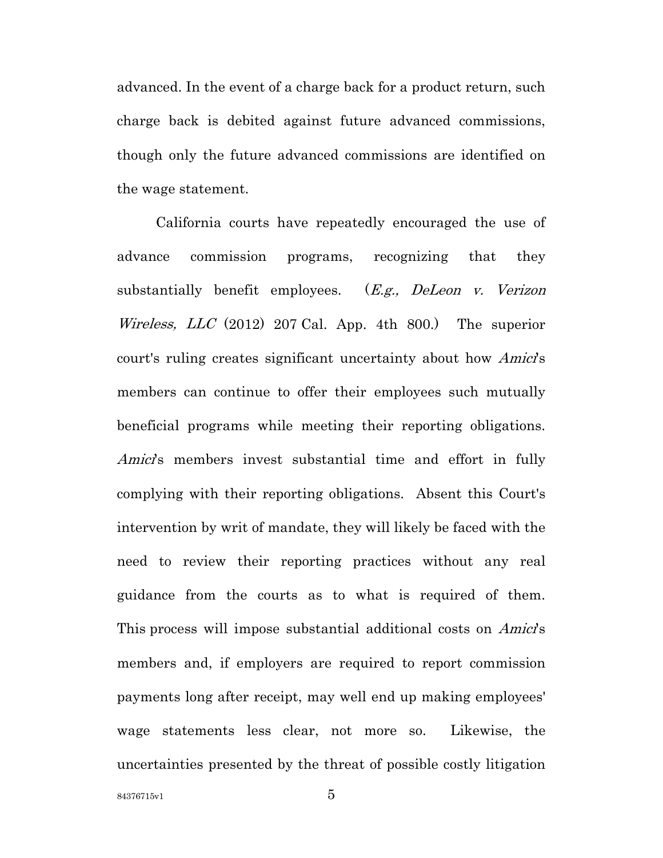advanced. In the event of a charge back for a product return, such charge back is debited against future advanced commissions, though only the future advanced commissions are identified on the wage statement.

California courts have repeatedly encouraged the use of advance commission programs, recognizing that they substantially benefit employees.  $(E.g., DeLeon \, v. \, Verizon)$ *Wireless, LLC* (2012) 207 Cal. App. 4th 800.) The superior court's ruling creates significant uncertainty about how *Amici*'s members can continue to offer their employees such mutually beneficial programs while meeting their reporting obligations. Amici's members invest substantial time and effort in fully complying with their reporting obligations. Absent this Court's intervention by writ of mandate, they will likely be faced with the need to review their reporting practices without any real guidance from the courts as to what is required of them. This process will impose substantial additional costs on *Amici*'s members and, if employers are required to report commission payments long after receipt, may well end up making employees' wage statements less clear, not more so. Likewise, the uncertainties presented by the threat of possible costly litigation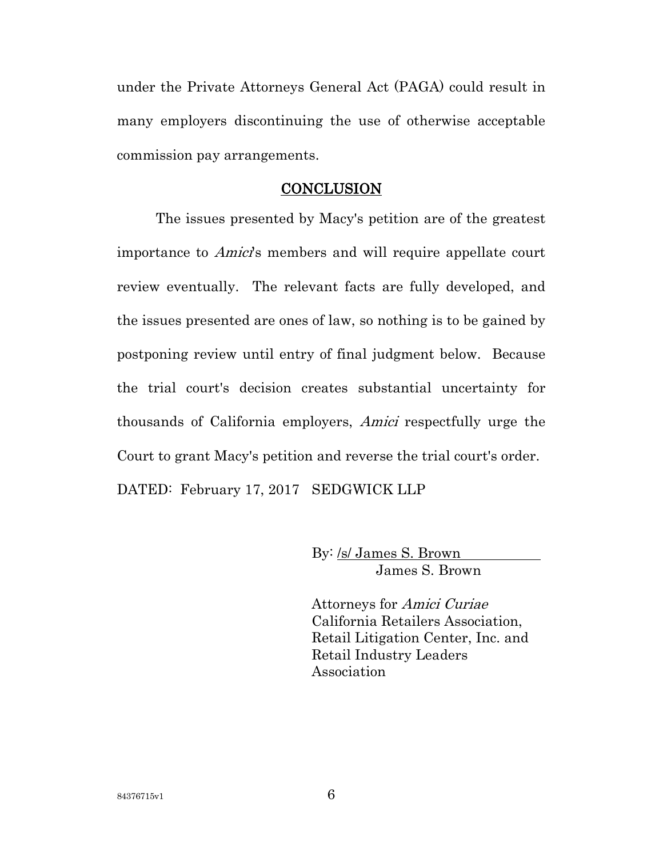under the Private Attorneys General Act (PAGA) could result in many employers discontinuing the use of otherwise acceptable commission pay arrangements.

### **CONCLUSION**

The issues presented by Macy's petition are of the greatest importance to *Amici*'s members and will require appellate court review eventually. The relevant facts are fully developed, and the issues presented are ones of law, so nothing is to be gained by postponing review until entry of final judgment below. Because the trial court's decision creates substantial uncertainty for thousands of California employers, Amici respectfully urge the Court to grant Macy's petition and reverse the trial court's order. DATED: February 17, 2017 SEDGWICK LLP

> By: /s/ James S. Brown James S. Brown

Attorneys for Amici Curiae California Retailers Association, Retail Litigation Center, Inc. and Retail Industry Leaders Association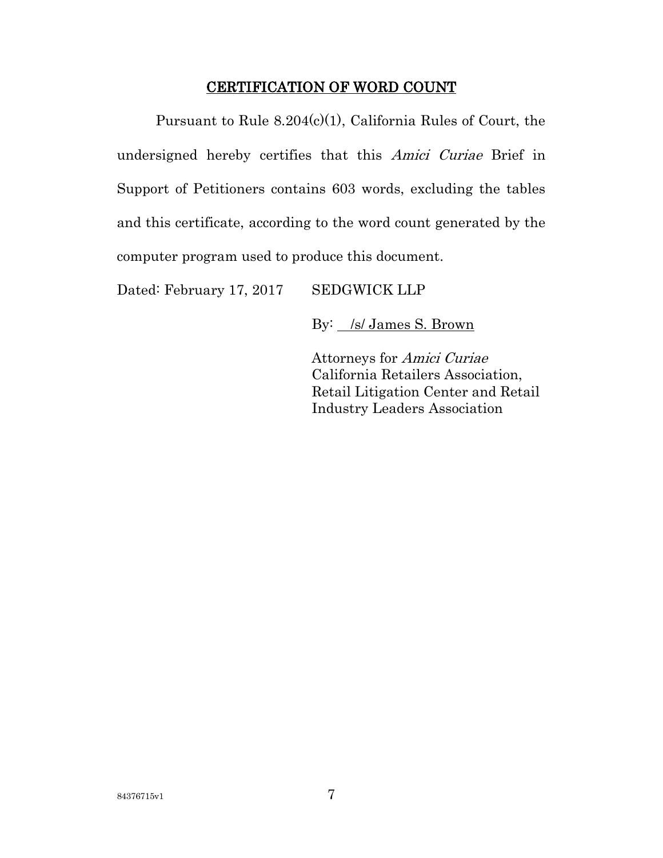## CERTIFICATION OF WORD COUNT

Pursuant to Rule 8.204(c)(1), California Rules of Court, the undersigned hereby certifies that this Amici Curiae Brief in Support of Petitioners contains 603 words, excluding the tables and this certificate, according to the word count generated by the computer program used to produce this document.

Dated: February 17, 2017 SEDGWICK LLP

By: /s/ James S. Brown

Attorneys for Amici Curiae California Retailers Association, Retail Litigation Center and Retail Industry Leaders Association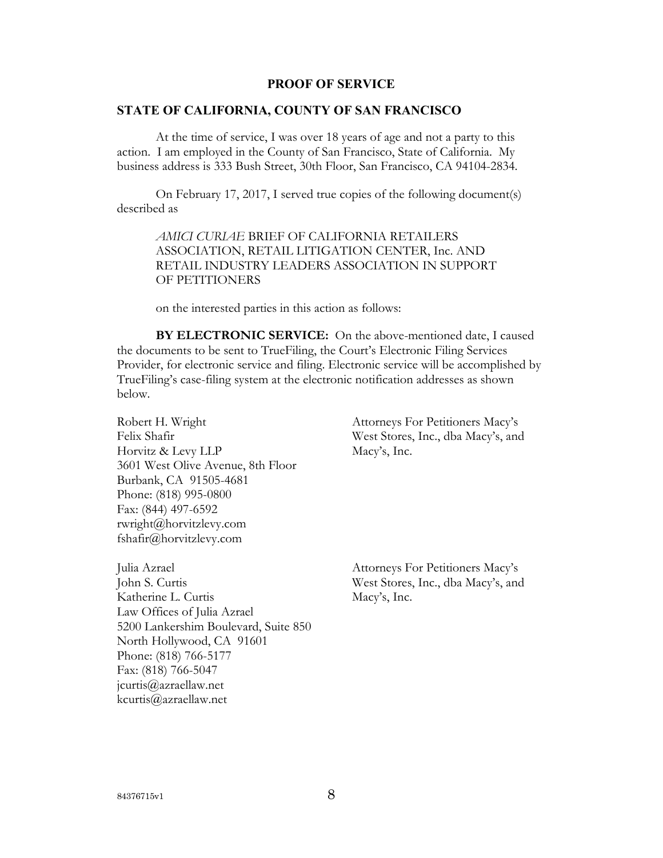#### **PROOF OF SERVICE**

### **STATE OF CALIFORNIA, COUNTY OF SAN FRANCISCO**

At the time of service, I was over 18 years of age and not a party to this action. I am employed in the County of San Francisco, State of California. My business address is 333 Bush Street, 30th Floor, San Francisco, CA 94104-2834.

On February 17, 2017, I served true copies of the following document(s) described as

*AMICI CURIAE* BRIEF OF CALIFORNIA RETAILERS ASSOCIATION, RETAIL LITIGATION CENTER, Inc. AND RETAIL INDUSTRY LEADERS ASSOCIATION IN SUPPORT OF PETITIONERS

on the interested parties in this action as follows:

**BY ELECTRONIC SERVICE:** On the above-mentioned date, I caused the documents to be sent to TrueFiling, the Court's Electronic Filing Services Provider, for electronic service and filing. Electronic service will be accomplished by TrueFiling's case-filing system at the electronic notification addresses as shown below.

Robert H. Wright Felix Shafir Horvitz & Levy LLP 3601 West Olive Avenue, 8th Floor Burbank, CA 91505-4681 Phone: (818) 995-0800 Fax: (844) 497-6592 rwright@horvitzlevy.com fshafir@horvitzlevy.com

Julia Azrael John S. Curtis Katherine L. Curtis Law Offices of Julia Azrael 5200 Lankershim Boulevard, Suite 850 North Hollywood, CA 91601 Phone: (818) 766-5177 Fax: (818) 766-5047 jcurtis@azraellaw.net kcurtis@azraellaw.net

Attorneys For Petitioners Macy's West Stores, Inc., dba Macy's, and Macy's, Inc.

Attorneys For Petitioners Macy's West Stores, Inc., dba Macy's, and Macy's, Inc.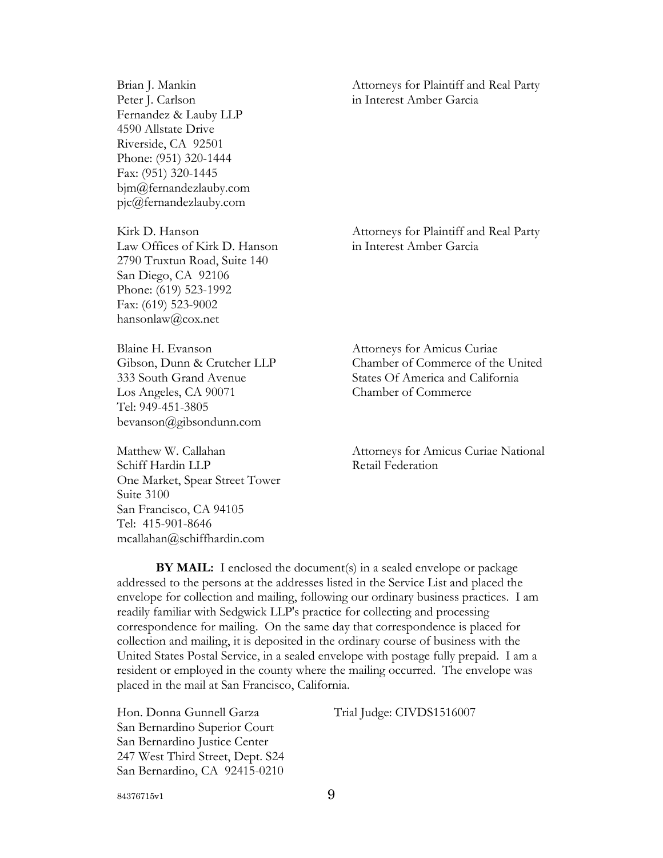Brian J. Mankin Peter J. Carlson Fernandez & Lauby LLP 4590 Allstate Drive Riverside, CA 92501 Phone: (951) 320-1444 Fax: (951) 320-1445 bjm@fernandezlauby.com pjc@fernandezlauby.com

Kirk D. Hanson Law Offices of Kirk D. Hanson 2790 Truxtun Road, Suite 140 San Diego, CA 92106 Phone: (619) 523-1992 Fax: (619) 523-9002 hansonlaw@cox.net

Blaine H. Evanson Gibson, Dunn & Crutcher LLP 333 South Grand Avenue Los Angeles, CA 90071 Tel: 949-451-3805 bevanson@gibsondunn.com

Matthew W. Callahan Schiff Hardin LLP One Market, Spear Street Tower Suite 3100 San Francisco, CA 94105 Tel: 415-901-8646 mcallahan@schiffhardin.com

Attorneys for Plaintiff and Real Party in Interest Amber Garcia

Attorneys for Plaintiff and Real Party in Interest Amber Garcia

Attorneys for Amicus Curiae Chamber of Commerce of the United States Of America and California Chamber of Commerce

Attorneys for Amicus Curiae National Retail Federation

**BY MAIL:** I enclosed the document(s) in a sealed envelope or package addressed to the persons at the addresses listed in the Service List and placed the envelope for collection and mailing, following our ordinary business practices. I am readily familiar with Sedgwick LLP's practice for collecting and processing correspondence for mailing. On the same day that correspondence is placed for collection and mailing, it is deposited in the ordinary course of business with the United States Postal Service, in a sealed envelope with postage fully prepaid. I am a resident or employed in the county where the mailing occurred. The envelope was placed in the mail at San Francisco, California.

Hon. Donna Gunnell Garza San Bernardino Superior Court San Bernardino Justice Center 247 West Third Street, Dept. S24 San Bernardino, CA 92415-0210 Trial Judge: CIVDS1516007

84376715v1 9